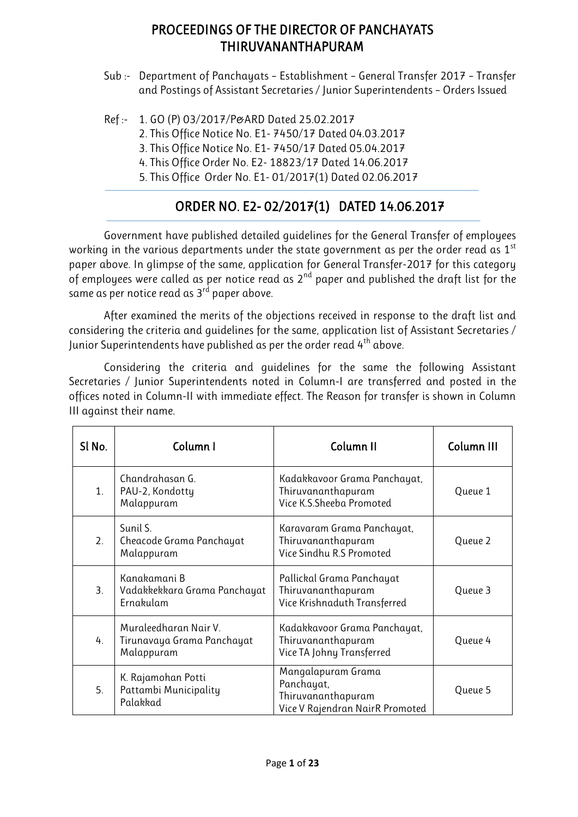## PROCEEDINGS OF THE DIRECTOR OF PANCHAYATS THIRUVANANTHAPURAM

- Sub :- Department of Panchayats Establishment General Transfer 2017 Transfer and Postings of Assistant Secretaries / Junior Superintendents – Orders Issued
- Ref :- 1. GO (P) 03/2017/P&ARD Dated 25.02.2017
	- 2. This Office Notice No. E1- 7450/17 Dated 04.03.2017
	- 3. This Office Notice No. E1- 7450/17 Dated 05.04.2017
	- 4. This Office Order No. E2- 18823/17 Dated 14.06.2017
	- 5. This Office Order No. E1- 01/2017(1) Dated 02.06.2017

## ORDER NO. E2- 02/2017(1) DATED 14.06.2017

Government have published detailed guidelines for the General Transfer of employees working in the various departments under the state government as per the order read as  $1<sup>st</sup>$ paper above. In glimpse of the same, application for General Transfer-2017 for this category of employees were called as per notice read as  $2^{nd}$  paper and published the draft list for the same as per notice read as  $3<sup>rd</sup>$  paper above.

After examined the merits of the objections received in response to the draft list and considering the criteria and guidelines for the same, application list of Assistant Secretaries / Junior Superintendents have published as per the order read 4<sup>th</sup> above.

Considering the criteria and guidelines for the same the following Assistant Secretaries / Junior Superintendents noted in Column-I are transferred and posted in the offices noted in Column-II with immediate effect. The Reason for transfer is shown in Column III against their name.

| Sl No. | Column I                                                          | Column II                                                                                 | Column III |
|--------|-------------------------------------------------------------------|-------------------------------------------------------------------------------------------|------------|
| 1.     | Chandrahasan G.<br>PAU-2, Kondotty<br>Malappuram                  | Kadakkavoor Grama Panchayat,<br>Thiruvananthapuram<br>Vice K.S.Sheeba Promoted            | Queue 1    |
| 2.     | Sunil S.<br>Cheacode Grama Panchayat<br>Malappuram                | Karavaram Grama Panchayat,<br>Thiruvananthapuram<br>Vice Sindhu R.S Promoted              | Queue 2    |
| 3.     | Kanakamani B<br>Vadakkekkara Grama Panchayat<br>Ernakulam         | Pallickal Grama Panchayat<br>Thiruvananthapuram<br>Vice Krishnaduth Transferred           | Queue 3    |
| 4.     | Muraleedharan Nair V.<br>Tirunavaya Grama Panchayat<br>Malappuram | Kadakkavoor Grama Panchayat,<br>Thiruvananthapuram<br>Vice TA Johny Transferred           | Queue 4    |
| 5.     | K. Rajamohan Potti<br>Pattambi Municipality<br>Palakkad           | Mangalapuram Grama<br>Panchayat,<br>Thiruvananthapuram<br>Vice V Rajendran NairR Promoted | Queue 5    |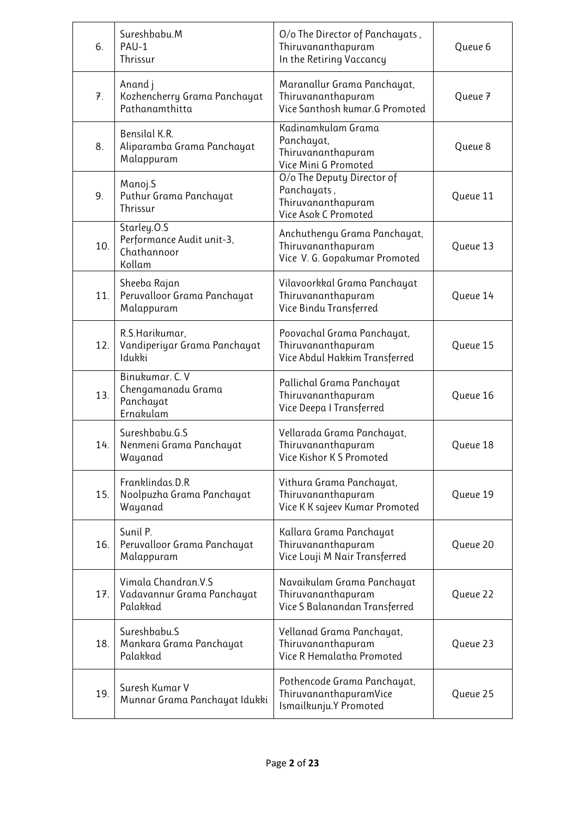| 6.  | Sureshbabu.M<br>PAU-1<br>Thrissur                                 | O/o The Director of Panchayats,<br>Thiruvananthapuram<br>In the Retiring Vaccancy       | Queue 6  |
|-----|-------------------------------------------------------------------|-----------------------------------------------------------------------------------------|----------|
| 7.  | Anand j<br>Kozhencherry Grama Panchayat<br>Pathanamthitta         | Maranallur Grama Panchayat,<br>Thiruvananthapuram<br>Vice Santhosh kumar.G Promoted     | Queue 7  |
| 8.  | Bensilal K.R.<br>Aliparamba Grama Panchayat<br>Malappuram         | Kadinamkulam Grama<br>Panchayat,<br>Thiruvananthapuram<br>Vice Mini G Promoted          | Queue 8  |
| 9.  | Manoj.S<br>Puthur Grama Panchayat<br>Thrissur                     | O/o The Deputy Director of<br>Panchayats,<br>Thiruvananthapuram<br>Vice Asok C Promoted | Queue 11 |
| 10. | Starley.0.S<br>Performance Audit unit-3,<br>Chathannoor<br>Kollam | Anchuthengu Grama Panchayat,<br>Thiruvananthapuram<br>Vice V. G. Gopakumar Promoted     | Queue 13 |
| 11. | Sheeba Rajan<br>Peruvalloor Grama Panchayat<br>Malappuram         | Vilavoorkkal Grama Panchayat<br>Thiruvananthapuram<br>Vice Bindu Transferred            | Queue 14 |
| 12. | R.S.Harikumar,<br>Vandiperiyar Grama Panchayat<br>Idukki          | Poovachal Grama Panchayat,<br>Thiruvananthapuram<br>Vice Abdul Hakkim Transferred       | Queue 15 |
| 13. | Binukumar. C. V<br>Chengamanadu Grama<br>Panchayat<br>Ernakulam   | Pallichal Grama Panchayat<br>Thiruvananthapuram<br>Vice Deepa I Transferred             | Queue 16 |
| 14. | Sureshbabu.G.S<br>Nenmeni Grama Panchayat<br>Wayanad              | Vellarada Grama Panchayat,<br>Thiruvananthapuram<br>Vice Kishor K S Promoted            | Queue 18 |
| 15. | Franklindas.D.R<br>Noolpuzha Grama Panchayat<br>Wayanad           | Vithura Grama Panchayat,<br>Thiruvananthapuram<br>Vice K K sajeev Kumar Promoted        | Queue 19 |
| 16. | Sunil P.<br>Peruvalloor Grama Panchayat<br>Malappuram             | Kallara Grama Panchayat<br>Thiruvananthapuram<br>Vice Louji M Nair Transferred          | Queue 20 |
| 17. | Vimala Chandran.V.S<br>Vadavannur Grama Panchayat<br>Palakkad     | Navaikulam Grama Panchayat<br>Thiruvananthapuram<br>Vice S Balanandan Transferred       | Queue 22 |
| 18. | Sureshbabu.S<br>Mankara Grama Panchayat<br>Palakkad               | Vellanad Grama Panchayat,<br>Thiruvananthapuram<br>Vice R Hemalatha Promoted            | Queue 23 |
| 19. | Suresh Kumar V<br>Munnar Grama Panchayat Idukki                   | Pothencode Grama Panchayat,<br>ThiruvananthapuramVice<br>Ismailkunju.Y Promoted         | Queue 25 |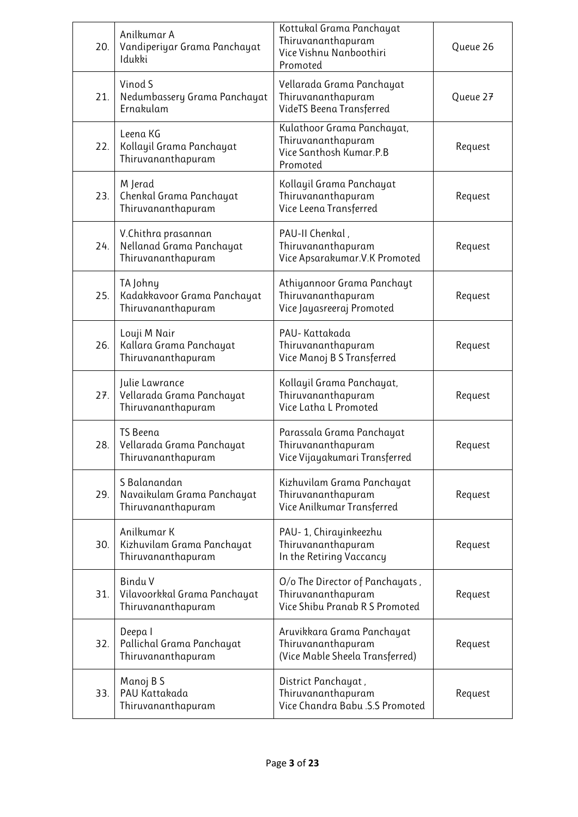| 20. | Anilkumar A<br>Vandiperiyar Grama Panchayat<br>Idukki                 | Kottukal Grama Panchayat<br>Thiruvananthapuram<br>Vice Vishnu Nanboothiri<br>Promoted   | Queue 26 |
|-----|-----------------------------------------------------------------------|-----------------------------------------------------------------------------------------|----------|
| 21. | Vinod S<br>Nedumbassery Grama Panchayat<br>Ernakulam                  | Vellarada Grama Panchayat<br>Thiruvananthapuram<br>VideTS Beena Transferred             | Queue 27 |
| 22. | Leena KG<br>Kollayil Grama Panchayat<br>Thiruvananthapuram            | Kulathoor Grama Panchayat,<br>Thiruvananthapuram<br>Vice Santhosh Kumar.P.B<br>Promoted | Request  |
| 23. | M Jerad<br>Chenkal Grama Panchayat<br>Thiruvananthapuram              | Kollayil Grama Panchayat<br>Thiruvananthapuram<br>Vice Leena Transferred                | Request  |
| 24. | V.Chithra prasannan<br>Nellanad Grama Panchayat<br>Thiruvananthapuram | PAU-II Chenkal,<br>Thiruvananthapuram<br>Vice Apsarakumar.V.K Promoted                  | Request  |
| 25. | TA Johny<br>Kadakkavoor Grama Panchayat<br>Thiruvananthapuram         | Athiyannoor Grama Panchayt<br>Thiruvananthapuram<br>Vice Jayasreeraj Promoted           | Request  |
| 26. | Louji M Nair<br>Kallara Grama Panchayat<br>Thiruvananthapuram         | PAU-Kattakada<br>Thiruvananthapuram<br>Vice Manoj B S Transferred                       | Request  |
| 27. | Julie Lawrance<br>Vellarada Grama Panchayat<br>Thiruvananthapuram     | Kollayil Grama Panchayat,<br>Thiruvananthapuram<br>Vice Latha L Promoted                | Request  |
| 28. | <b>TS Beena</b><br>Vellarada Grama Panchayat<br>Thiruvananthapuram    | Parassala Grama Panchayat<br>Thiruvananthapuram<br>Vice Vijayakumari Transferred        | Request  |
| 29. | S Balanandan<br>Navaikulam Grama Panchayat<br>Thiruvananthapuram      | Kizhuvilam Grama Panchayat<br>Thiruvananthapuram<br>Vice Anilkumar Transferred          | Request  |
| 30. | Anilkumar K<br>Kizhuvilam Grama Panchayat<br>Thiruvananthapuram       | PAU- 1, Chirayinkeezhu<br>Thiruvananthapuram<br>In the Retiring Vaccancy                | Request  |
| 31. | <b>Bindu V</b><br>Vilavoorkkal Grama Panchayat<br>Thiruvananthapuram  | O/o The Director of Panchayats,<br>Thiruvananthapuram<br>Vice Shibu Pranab R S Promoted | Request  |
| 32. | Deepa l<br>Pallichal Grama Panchayat<br>Thiruvananthapuram            | Aruvikkara Grama Panchayat<br>Thiruvananthapuram<br>(Vice Mable Sheela Transferred)     | Request  |
| 33. | Manoj B S<br>PAU Kattakada<br>Thiruvananthapuram                      | District Panchayat,<br>Thiruvananthapuram<br>Vice Chandra Babu .S.S Promoted            | Request  |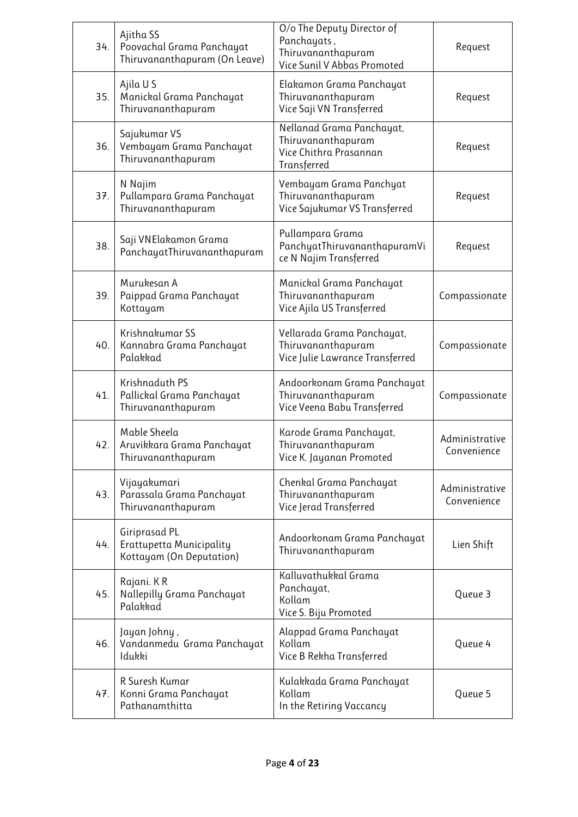| 34. | Ajitha SS<br>Poovachal Grama Panchayat<br>Thiruvananthapuram (On Leave) | O/o The Deputy Director of<br>Panchayats,<br>Thiruvananthapuram<br>Vice Sunil V Abbas Promoted | Request                       |
|-----|-------------------------------------------------------------------------|------------------------------------------------------------------------------------------------|-------------------------------|
| 35. | Ajila U S<br>Manickal Grama Panchayat<br>Thiruvananthapuram             | Elakamon Grama Panchayat<br>Thiruvananthapuram<br>Vice Saji VN Transferred                     | Request                       |
| 36. | Sajukumar VS<br>Vembayam Grama Panchayat<br>Thiruvananthapuram          | Nellanad Grama Panchayat,<br>Thiruvananthapuram<br>Vice Chithra Prasannan<br>Transferred       | Request                       |
| 37. | N Najim<br>Pullampara Grama Panchayat<br>Thiruvananthapuram             | Vembayam Grama Panchyat<br>Thiruvananthapuram<br>Vice Sajukumar VS Transferred                 | Request                       |
| 38. | Saji VNElakamon Grama<br>PanchayatThiruvananthapuram                    | Pullampara Grama<br>PanchyatThiruvananthapuramVi<br>ce N Najim Transferred                     | Request                       |
| 39. | Murukesan A<br>Paippad Grama Panchayat<br>Kottayam                      | Manickal Grama Panchayat<br>Thiruvananthapuram<br>Vice Ajila US Transferred                    | Compassionate                 |
| 40. | Krishnakumar SS<br>Kannabra Grama Panchayat<br>Palakkad                 | Vellarada Grama Panchayat,<br>Thiruvananthapuram<br>Vice Julie Lawrance Transferred            | Compassionate                 |
| 41. | Krishnaduth PS<br>Pallickal Grama Panchayat<br>Thiruvananthapuram       | Andoorkonam Grama Panchayat<br>Thiruvananthapuram<br>Vice Veena Babu Transferred               | Compassionate                 |
| 42. | Mable Sheela<br>Aruvikkara Grama Panchayat<br>Thiruvananthapuram        | Karode Grama Panchayat,<br>Thiruvananthapuram<br>Vice K. Jayanan Promoted                      | Administrative<br>Convenience |
| 43. | Vijayakumari<br>Parassala Grama Panchayat<br>Thiruvananthapuram         | Chenkal Grama Panchayat<br>Thiruvananthapuram<br>Vice Jerad Transferred                        | Administrative<br>Convenience |
| 44. | Giriprasad PL<br>Erattupetta Municipality<br>Kottayam (On Deputation)   | Andoorkonam Grama Panchayat<br>Thiruvananthapuram                                              | Lien Shift                    |
| 45. | Rajani. K R<br>Nallepilly Grama Panchayat<br>Palakkad                   | Kalluvathukkal Grama<br>Panchayat,<br>Kollam<br>Vice S. Biju Promoted                          | Queue 3                       |
| 46. | Jayan Johny,<br>Vandanmedu Grama Panchayat<br>Idukki                    | Alappad Grama Panchayat<br>Kollam<br>Vice B Rekha Transferred                                  | Queue 4                       |
| 47. | R Suresh Kumar<br>Konni Grama Panchayat<br>Pathanamthitta               | Kulakkada Grama Panchayat<br>Kollam<br>In the Retiring Vaccancy                                | Queue 5                       |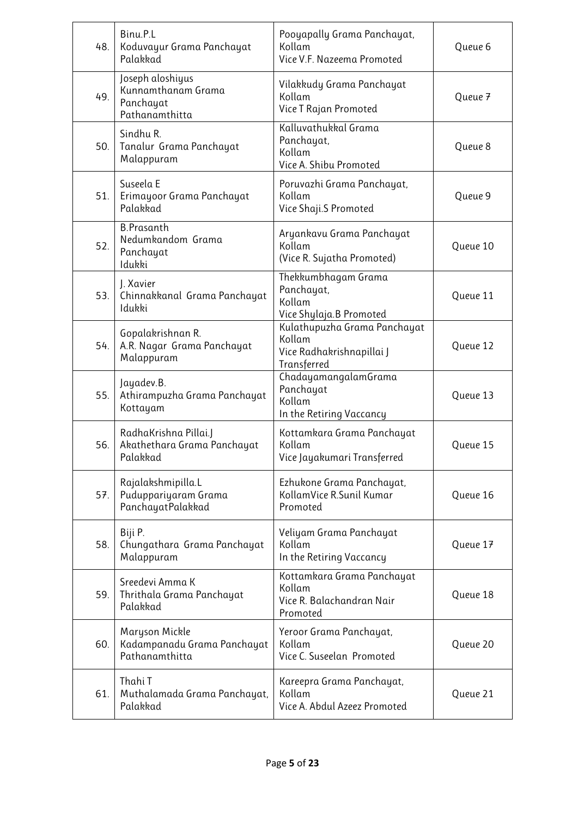| 48. | Binu.P.L<br>Koduvayur Grama Panchayat<br>Palakkad                     | Pooyapally Grama Panchayat,<br>Kollam<br>Vice V.F. Nazeema Promoted                | Queue 6  |
|-----|-----------------------------------------------------------------------|------------------------------------------------------------------------------------|----------|
| 49. | Joseph aloshiyus<br>Kunnamthanam Grama<br>Panchayat<br>Pathanamthitta | Vilakkudy Grama Panchayat<br>Kollam<br>Vice T Rajan Promoted                       | Queue 7  |
| 50. | Sindhu R.<br>Tanalur Grama Panchayat<br>Malappuram                    | Kalluvathukkal Grama<br>Panchayat,<br>Kollam<br>Vice A. Shibu Promoted             | Queue 8  |
| 51. | Suseela E<br>Erimayoor Grama Panchayat<br>Palakkad                    | Poruvazhi Grama Panchayat,<br>Kollam<br>Vice Shaji.S Promoted                      | Queue 9  |
| 52. | <b>B.Prasanth</b><br>Nedumkandom Grama<br>Panchayat<br>Idukki         | Aryankavu Grama Panchayat<br>Kollam<br>(Vice R. Sujatha Promoted)                  | Queue 10 |
| 53. | J. Xavier<br>Chinnakkanal Grama Panchayat<br>Idukki                   | Thekkumbhagam Grama<br>Panchayat,<br>Kollam<br>Vice Shylaja.B Promoted             | Queue 11 |
| 54. | Gopalakrishnan R.<br>A.R. Nagar Grama Panchayat<br>Malappuram         | Kulathupuzha Grama Panchayat<br>Kollam<br>Vice Radhakrishnapillai J<br>Transferred | Queue 12 |
| 55. | Jayadev.B.<br>Athirampuzha Grama Panchayat<br>Kottayam                | ChadayamangalamGrama<br>Panchayat<br>Kollam<br>In the Retiring Vaccancy            | Queue 13 |
| 56. | RadhaKrishna Pillai.J<br>Akathethara Grama Panchayat<br>Palakkad      | Kottamkara Grama Panchayat<br>Kollam<br>Vice Jayakumari Transferred                | Queue 15 |
| 57. | Rajalakshmipilla.L<br>Puduppariyaram Grama<br>PanchayatPalakkad       | Ezhukone Grama Panchayat,<br>KollamVice R.Sunil Kumar<br>Promoted                  | Queue 16 |
| 58. | Biji P.<br>Chungathara Grama Panchayat<br>Malappuram                  | Veliyam Grama Panchayat<br>Kollam<br>In the Retiring Vaccancy                      | Queue 17 |
| 59. | Sreedevi Amma K<br>Thrithala Grama Panchayat<br>Palakkad              | Kottamkara Grama Panchayat<br>Kollam<br>Vice R. Balachandran Nair<br>Promoted      | Queue 18 |
| 60. | Maryson Mickle<br>Kadampanadu Grama Panchayat<br>Pathanamthitta       | Yeroor Grama Panchayat,<br>Kollam<br>Vice C. Suseelan Promoted                     | Queue 20 |
| 61. | Thahi T<br>Muthalamada Grama Panchayat,<br>Palakkad                   | Kareepra Grama Panchayat,<br>Kollam<br>Vice A. Abdul Azeez Promoted                | Queue 21 |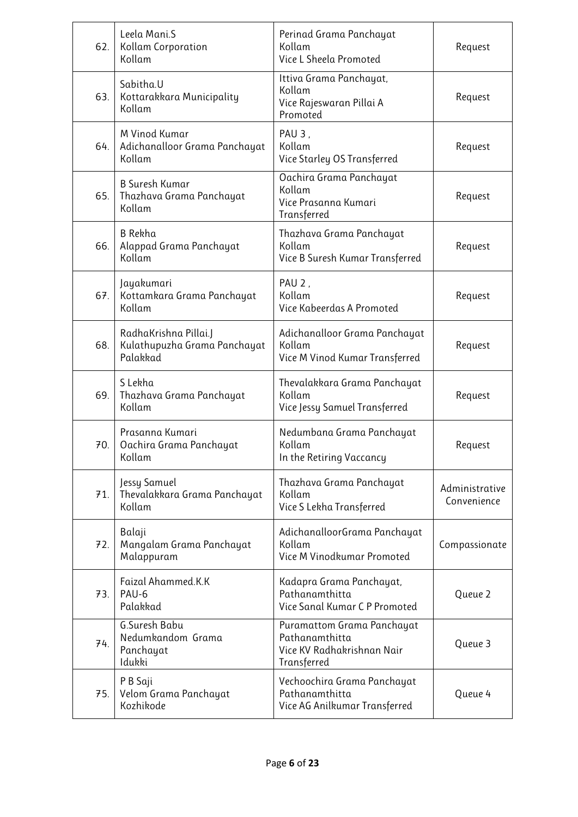| 62. | Leela Mani.S<br><b>Kollam Corporation</b><br>Kollam               | Perinad Grama Panchayat<br>Kollam<br>Vice L Sheela Promoted                                      | Request                       |
|-----|-------------------------------------------------------------------|--------------------------------------------------------------------------------------------------|-------------------------------|
| 63. | Sabitha.U<br>Kottarakkara Municipality<br>Kollam                  | Ittiva Grama Panchayat,<br>Kollam<br>Vice Rajeswaran Pillai A<br>Promoted                        | Request                       |
| 64. | M Vinod Kumar<br>Adichanalloor Grama Panchayat<br>Kollam          | PAU <sub>3</sub> ,<br>Kollam<br>Vice Starley OS Transferred                                      | Request                       |
| 65. | <b>B Suresh Kumar</b><br>Thazhava Grama Panchayat<br>Kollam       | Oachira Grama Panchayat<br>Kollam<br>Vice Prasanna Kumari<br>Transferred                         | Request                       |
| 66. | B Rekha<br>Alappad Grama Panchayat<br>Kollam                      | Thazhava Grama Panchayat<br>Kollam<br>Vice B Suresh Kumar Transferred                            | Request                       |
| 67. | Jayakumari<br>Kottamkara Grama Panchayat<br>Kollam                | PAU 2,<br>Kollam<br>Vice Kabeerdas A Promoted                                                    | Request                       |
| 68. | RadhaKrishna Pillai.J<br>Kulathupuzha Grama Panchayat<br>Palakkad | Adichanalloor Grama Panchayat<br>Kollam<br>Vice M Vinod Kumar Transferred                        | Request                       |
| 69. | S Lekha<br>Thazhava Grama Panchayat<br>Kollam                     | Thevalakkara Grama Panchayat<br>Kollam<br>Vice Jessy Samuel Transferred                          | Request                       |
| 70. | Prasanna Kumari<br>Oachira Grama Panchayat<br>Kollam              | Nedumbana Grama Panchayat<br>Kollam<br>In the Retiring Vaccancy                                  | Request                       |
| 71. | Jessy Samuel<br>Thevalakkara Grama Panchayat<br>Kollam            | Thazhava Grama Panchayat<br>Kollam<br>Vice S Lekha Transferred                                   | Administrative<br>Convenience |
| 72. | Balaji<br>Mangalam Grama Panchayat<br>Malappuram                  | AdichanalloorGrama Panchayat<br>Kollam<br>Vice M Vinodkumar Promoted                             | Compassionate                 |
| 73. | Faizal Ahammed.K.K<br>PAU-6<br>Palakkad                           | Kadapra Grama Panchayat,<br>Pathanamthitta<br>Vice Sanal Kumar C P Promoted                      | Queue 2                       |
| 74. | G.Suresh Babu<br>Nedumkandom Grama<br>Panchayat<br>Idukki         | <b>Puramattom Grama Panchayat</b><br>Pathanamthitta<br>Vice KV Radhakrishnan Nair<br>Transferred | Queue 3                       |
| 75. | P B Saji<br>Velom Grama Panchayat<br>Kozhikode                    | Vechoochira Grama Panchayat<br>Pathanamthitta<br>Vice AG Anilkumar Transferred                   | Queue 4                       |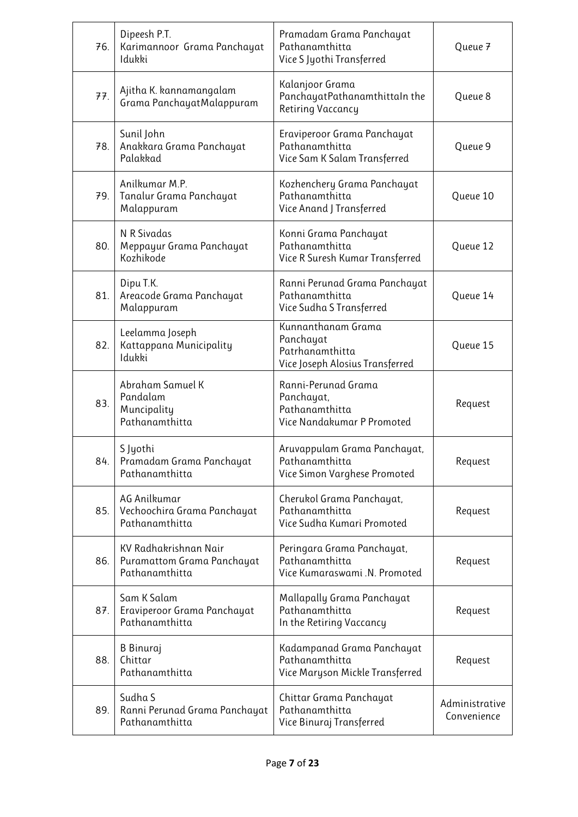| 76. | Dipeesh P.T.<br>Karimannoor Grama Panchayat<br>Idukki                 | Pramadam Grama Panchayat<br>Pathanamthitta<br>Vice S Jyothi Transferred               | Queue 7                       |
|-----|-----------------------------------------------------------------------|---------------------------------------------------------------------------------------|-------------------------------|
| 77. | Ajitha K. kannamangalam<br>Grama PanchayatMalappuram                  | Kalanjoor Grama<br>PanchayatPathanamthittaIn the<br>Retiring Vaccancy                 | Queue 8                       |
| 78. | Sunil John<br>Anakkara Grama Panchayat<br>Palakkad                    | Eraviperoor Grama Panchayat<br>Pathanamthitta<br>Vice Sam K Salam Transferred         | Queue 9                       |
| 79. | Anilkumar M.P.<br>Tanalur Grama Panchayat<br>Malappuram               | Kozhenchery Grama Panchayat<br>Pathanamthitta<br>Vice Anand J Transferred             | Queue 10                      |
| 80. | N R Sivadas<br>Meppayur Grama Panchayat<br>Kozhikode                  | Konni Grama Panchayat<br>Pathanamthitta<br>Vice R Suresh Kumar Transferred            | Queue 12                      |
| 81. | Dipu T.K.<br>Areacode Grama Panchayat<br>Malappuram                   | Ranni Perunad Grama Panchayat<br>Pathanamthitta<br>Vice Sudha S Transferred           | Queue 14                      |
| 82. | Leelamma Joseph<br>Kattappana Municipality<br>Idukki                  | Kunnanthanam Grama<br>Panchayat<br>Patrhanamthitta<br>Vice Joseph Alosius Transferred | Queue 15                      |
| 83. | Abraham Samuel K<br>Pandalam<br>Muncipality<br>Pathanamthitta         | Ranni-Perunad Grama<br>Panchayat,<br>Pathanamthitta<br>Vice Nandakumar P Promoted     | Request                       |
| 84. | S Jyothi<br>Pramadam Grama Panchayat<br>Pathanamthitta                | Aruvappulam Grama Panchayat,<br>Pathanamthitta<br>Vice Simon Varghese Promoted        | Request                       |
| 85. | AG Anilkumar<br>Vechoochira Grama Panchayat<br>Pathanamthitta         | Cherukol Grama Panchayat,<br>Pathanamthitta<br>Vice Sudha Kumari Promoted             | Request                       |
| 86. | KV Radhakrishnan Nair<br>Puramattom Grama Panchayat<br>Pathanamthitta | Peringara Grama Panchayat,<br>Pathanamthitta<br>Vice Kumaraswami .N. Promoted         | Request                       |
| 87. | Sam K Salam<br>Eraviperoor Grama Panchayat<br>Pathanamthitta          | Mallapally Grama Panchayat<br>Pathanamthitta<br>In the Retiring Vaccancy              | Request                       |
| 88. | B Binuraj<br>Chittar<br>Pathanamthitta                                | Kadampanad Grama Panchayat<br>Pathanamthitta<br>Vice Maryson Mickle Transferred       | Request                       |
| 89. | Sudha S<br>Ranni Perunad Grama Panchayat<br>Pathanamthitta            | Chittar Grama Panchayat<br>Pathanamthitta<br>Vice Binuraj Transferred                 | Administrative<br>Convenience |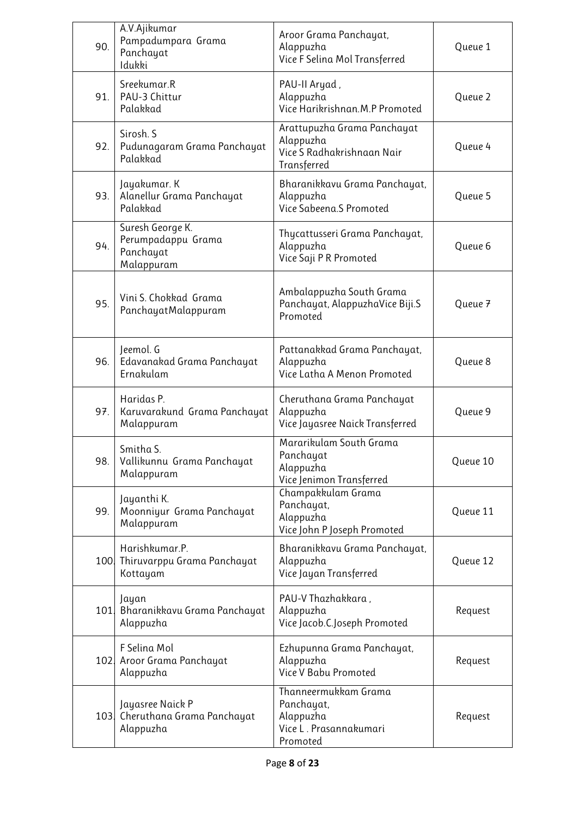| 90.  | A.V.Ajikumar<br>Pampadumpara Grama<br>Panchayat<br>Idukki         | Aroor Grama Panchayat,<br>Alappuzha<br>Vice F Selina Mol Transferred                  | Queue 1  |
|------|-------------------------------------------------------------------|---------------------------------------------------------------------------------------|----------|
| 91.  | Sreekumar.R<br>PAU-3 Chittur<br>Palakkad                          | PAU-II Aryad,<br>Alappuzha<br>Vice Harikrishnan.M.P Promoted                          | Queue 2  |
| 92.  | Sirosh. S<br>Pudunagaram Grama Panchayat<br>Palakkad              | Arattupuzha Grama Panchayat<br>Alappuzha<br>Vice S Radhakrishnaan Nair<br>Transferred | Queue 4  |
| 93.  | Jayakumar. K<br>Alanellur Grama Panchayat<br>Palakkad             | Bharanikkavu Grama Panchayat,<br>Alappuzha<br>Vice Sabeena.S Promoted                 | Queue 5  |
| 94.  | Suresh George K.<br>Perumpadappu Grama<br>Panchayat<br>Malappuram | Thycattusseri Grama Panchayat,<br>Alappuzha<br>Vice Saji P R Promoted                 | Queue 6  |
| 95.  | Vini S. Chokkad Grama<br>PanchayatMalappuram                      | Ambalappuzha South Grama<br>Panchayat, AlappuzhaVice Biji.S<br>Promoted               | Queue 7  |
| 96.  | Jeemol. G<br>Edavanakad Grama Panchayat<br>Ernakulam              | Pattanakkad Grama Panchayat,<br>Alappuzha<br>Vice Latha A Menon Promoted              | Queue 8  |
| 97.  | Haridas P.<br>Karuvarakund Grama Panchayat<br>Malappuram          | Cheruthana Grama Panchayat<br>Alappuzha<br>Vice Jayasree Naick Transferred            | Queue 9  |
| 98.  | Smitha S.<br>Vallikunnu Grama Panchayat<br>Malappuram             | Mararikulam South Grama<br>Panchayat<br>Alappuzha<br>Vice Jenimon Transferred         | Queue 10 |
| 99.  | Jayanthi K.<br>Moonniyur Grama Panchayat<br>Malappuram            | Champakkulam Grama<br>Panchayat,<br>Alappuzha<br>Vice John P Joseph Promoted          | Queue 11 |
|      | Harishkumar.P.<br>100 Thiruvarppu Grama Panchayat<br>Kottayam     | Bharanikkavu Grama Panchayat,<br>Alappuzha<br>Vice Jayan Transferred                  | Queue 12 |
| 101. | Jayan<br>Bharanikkavu Grama Panchayat<br>Alappuzha                | PAU-V Thazhakkara,<br>Alappuzha<br>Vice Jacob.C.Joseph Promoted                       | Request  |
| 102. | F Selina Mol<br>Aroor Grama Panchayat<br>Alappuzha                | Ezhupunna Grama Panchayat,<br>Alappuzha<br>Vice V Babu Promoted                       | Request  |
|      | Jayasree Naick P<br>103 Cheruthana Grama Panchayat<br>Alappuzha   | Thanneermukkam Grama<br>Panchayat,<br>Alappuzha<br>Vice L. Prasannakumari<br>Promoted | Request  |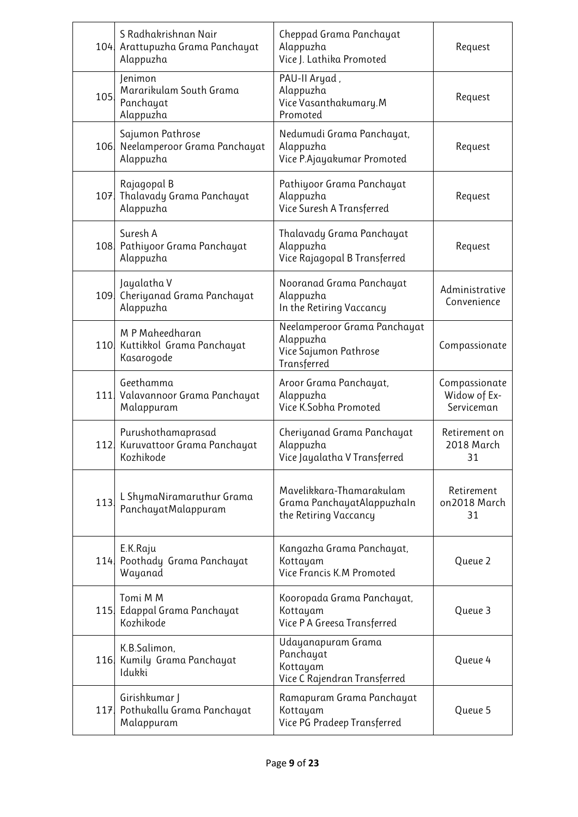|     | S Radhakrishnan Nair<br>104 Arattupuzha Grama Panchayat<br>Alappuzha | Cheppad Grama Panchayat<br>Alappuzha<br>Vice J. Lathika Promoted                  | Request                                     |
|-----|----------------------------------------------------------------------|-----------------------------------------------------------------------------------|---------------------------------------------|
| 105 | Jenimon<br>Mararikulam South Grama<br>Panchayat<br>Alappuzha         | PAU-II Aryad,<br>Alappuzha<br>Vice Vasanthakumary.M<br>Promoted                   | Request                                     |
|     | Sajumon Pathrose<br>106 Neelamperoor Grama Panchayat<br>Alappuzha    | Nedumudi Grama Panchayat,<br>Alappuzha<br>Vice P.Ajayakumar Promoted              | Request                                     |
|     | Rajagopal B<br>107 Thalavady Grama Panchayat<br>Alappuzha            | Pathiyoor Grama Panchayat<br>Alappuzha<br>Vice Suresh A Transferred               | Request                                     |
|     | Suresh A<br>108 Pathiyoor Grama Panchayat<br>Alappuzha               | Thalavady Grama Panchayat<br>Alappuzha<br>Vice Rajagopal B Transferred            | Request                                     |
| 109 | Jayalatha V<br>Cheriyanad Grama Panchayat<br>Alappuzha               | Nooranad Grama Panchayat<br>Alappuzha<br>In the Retiring Vaccancy                 | Administrative<br>Convenience               |
|     | M P Maheedharan<br>110 Kuttikkol Grama Panchayat<br>Kasarogode       | Neelamperoor Grama Panchayat<br>Alappuzha<br>Vice Sajumon Pathrose<br>Transferred | Compassionate                               |
|     | Geethamma<br>111 Valavannoor Grama Panchayat<br>Malappuram           | Aroor Grama Panchayat,<br>Alappuzha<br>Vice K.Sobha Promoted                      | Compassionate<br>Widow of Ex-<br>Serviceman |
| 112 | Purushothamaprasad<br>Kuruvattoor Grama Panchayat<br>Kozhikode       | Cheriyanad Grama Panchayat<br>Alappuzha<br>Vice Jayalatha V Transferred           | Retirement on<br>2018 March<br>31           |
| 113 | L ShymaNiramaruthur Grama<br>PanchayatMalappuram                     | Mavelikkara-Thamarakulam<br>Grama PanchayatAlappuzhaIn<br>the Retiring Vaccancy   | Retirement<br>on2018 March<br>31            |
|     | E.K.Raju<br>114 Poothady Grama Panchayat<br>Wayanad                  | Kangazha Grama Panchayat,<br>Kottayam<br>Vice Francis K.M Promoted                | Queue 2                                     |
| 115 | Tomi M M<br>Edappal Grama Panchayat<br>Kozhikode                     | Kooropada Grama Panchayat,<br>Kottayam<br>Vice P A Greesa Transferred             | Queue 3                                     |
|     | K.B.Salimon,<br>116. Kumily Grama Panchayat<br>Idukki                | Udayanapuram Grama<br>Panchayat<br>Kottayam<br>Vice C Rajendran Transferred       | Queue 4                                     |
|     | Girishkumar J<br>117 Pothukallu Grama Panchayat<br>Malappuram        | Ramapuram Grama Panchayat<br>Kottayam<br>Vice PG Pradeep Transferred              | Queue 5                                     |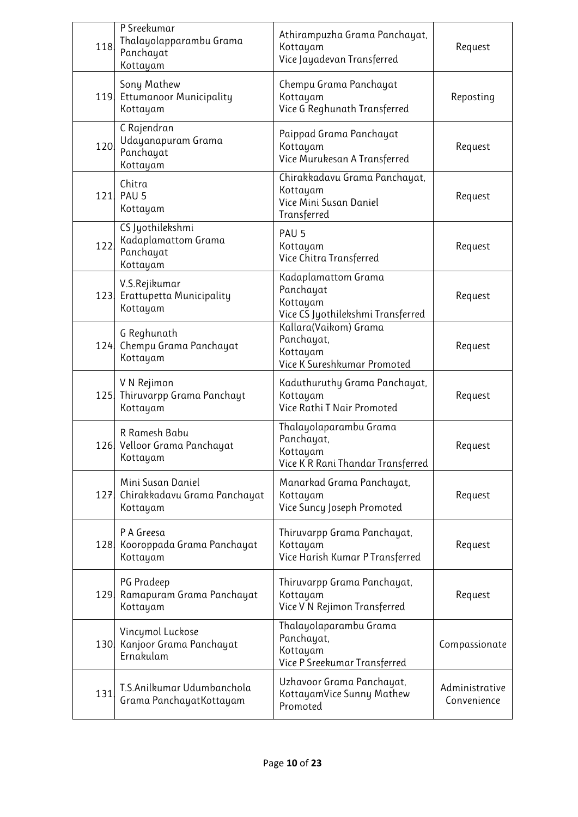| 118. | P Sreekumar<br>Thalayolapparambu Grama<br>Panchayat<br>Kottayam  | Athirampuzha Grama Panchayat,<br>Kottayam<br>Vice Jayadevan Transferred               | Request                       |
|------|------------------------------------------------------------------|---------------------------------------------------------------------------------------|-------------------------------|
|      | Sony Mathew<br>119 Ettumanoor Municipality<br>Kottayam           | Chempu Grama Panchayat<br>Kottayam<br>Vice G Reghunath Transferred                    | Reposting                     |
| 120. | C Rajendran<br>Udayanapuram Grama<br>Panchayat<br>Kottayam       | Paippad Grama Panchayat<br>Kottayam<br>Vice Murukesan A Transferred                   | Request                       |
| 121  | Chitra<br>PAU <sub>5</sub><br>Kottayam                           | Chirakkadavu Grama Panchayat,<br>Kottayam<br>Vice Mini Susan Daniel<br>Transferred    | Request                       |
| 122  | CS Jyothilekshmi<br>Kadaplamattom Grama<br>Panchayat<br>Kottayam | PAU <sub>5</sub><br>Kottayam<br>Vice Chitra Transferred                               | Request                       |
|      | V.S.Rejikumar<br>123 Erattupetta Municipality<br>Kottayam        | Kadaplamattom Grama<br>Panchayat<br>Kottayam<br>Vice CS Jyothilekshmi Transferred     | Request                       |
|      | G Reghunath<br>124 Chempu Grama Panchayat<br>Kottayam            | Kallara(Vaikom) Grama<br>Panchayat,<br>Kottayam<br>Vice K Sureshkumar Promoted        | Request                       |
|      | V N Rejimon<br>125 Thiruvarpp Grama Panchayt<br>Kottayam         | Kaduthuruthy Grama Panchayat,<br>Kottayam<br>Vice Rathi T Nair Promoted               | Request                       |
|      | R Ramesh Babu<br>126 Velloor Grama Panchayat<br>Kottayam         | Thalayolaparambu Grama<br>Panchayat,<br>Kottayam<br>Vice K R Rani Thandar Transferred | Request                       |
| 127. | Mini Susan Daniel<br>Chirakkadavu Grama Panchayat<br>Kottayam    | Manarkad Grama Panchayat,<br>Kottayam<br>Vice Suncy Joseph Promoted                   | Request                       |
| 128. | P A Greesa<br>Kooroppada Grama Panchayat<br>Kottayam             | Thiruvarpp Grama Panchayat,<br>Kottayam<br>Vice Harish Kumar P Transferred            | Request                       |
| 129. | PG Pradeep<br>Ramapuram Grama Panchayat<br>Kottayam              | Thiruvarpp Grama Panchayat,<br>Kottayam<br>Vice V N Rejimon Transferred               | Request                       |
| 130. | Vincymol Luckose<br>Kanjoor Grama Panchayat<br>Ernakulam         | Thalayolaparambu Grama<br>Panchayat,<br>Kottayam<br>Vice P Sreekumar Transferred      | Compassionate                 |
| 131  | T.S.Anilkumar Udumbanchola<br>Grama PanchayatKottayam            | Uzhavoor Grama Panchayat,<br>KottayamVice Sunny Mathew<br>Promoted                    | Administrative<br>Convenience |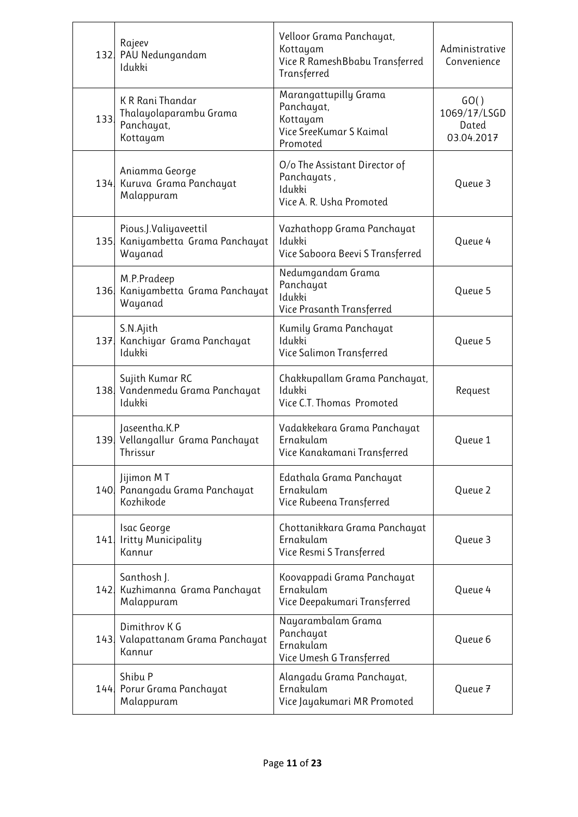| 132. | Rajeev<br>PAU Nedungandam<br>Idukki                                  | Velloor Grama Panchayat,<br>Kottayam<br>Vice R RameshBbabu Transferred<br>Transferred  | Administrative<br>Convenience               |
|------|----------------------------------------------------------------------|----------------------------------------------------------------------------------------|---------------------------------------------|
| 133. | K R Rani Thandar<br>Thalayolaparambu Grama<br>Panchayat,<br>Kottayam | Marangattupilly Grama<br>Panchayat,<br>Kottayam<br>Vice SreeKumar S Kaimal<br>Promoted | GO()<br>1069/17/LSGD<br>Dated<br>03.04.2017 |
|      | Aniamma George<br>134 Kuruva Grama Panchayat<br>Malappuram           | O/o The Assistant Director of<br>Panchayats,<br>Idukki<br>Vice A. R. Usha Promoted     | Queue 3                                     |
| 135  | Pious.J.Valiyaveettil<br>Kaniyambetta Grama Panchayat<br>Wayanad     | Vazhathopp Grama Panchayat<br>Idukki<br>Vice Saboora Beevi S Transferred               | Queue 4                                     |
| 136. | M.P.Pradeep<br>Kaniyambetta Grama Panchayat<br>Wayanad               | Nedumgandam Grama<br>Panchayat<br>Idukki<br>Vice Prasanth Transferred                  | Queue 5                                     |
| 137. | S.N.Ajith<br>Kanchiyar Grama Panchayat<br>Idukki                     | Kumily Grama Panchayat<br>Idukki<br>Vice Salimon Transferred                           | Queue 5                                     |
|      | Sujith Kumar RC<br>138 Vandenmedu Grama Panchayat<br>Idukki          | Chakkupallam Grama Panchayat,<br>Idukki<br>Vice C.T. Thomas Promoted                   | Request                                     |
|      | Jaseentha.K.P<br>139 Vellangallur Grama Panchayat<br>Thrissur        | Vadakkekara Grama Panchayat<br>Ernakulam<br>Vice Kanakamani Transferred                | Queue 1                                     |
|      | Jijimon MT<br>140 Panangadu Grama Panchayat<br>Kozhikode             | Edathala Grama Panchayat<br>Ernakulam<br>Vice Rubeena Transferred                      | Queue 2                                     |
| 141  | Isac George<br>Iritty Municipality<br>Kannur                         | Chottanikkara Grama Panchayat<br>Ernakulam<br>Vice Resmi S Transferred                 | Queue 3                                     |
|      | Santhosh J.<br>142 Kuzhimanna Grama Panchayat<br>Malappuram          | Koovappadi Grama Panchayat<br>Ernakulam<br>Vice Deepakumari Transferred                | Queue 4                                     |
|      | Dimithrov K G<br>143. Valapattanam Grama Panchayat<br>Kannur         | Nayarambalam Grama<br>Panchayat<br>Ernakulam<br>Vice Umesh G Transferred               | Queue 6                                     |
|      | Shibu P<br>144. Porur Grama Panchayat<br>Malappuram                  | Alangadu Grama Panchayat,<br>Ernakulam<br>Vice Jayakumari MR Promoted                  | Queue 7                                     |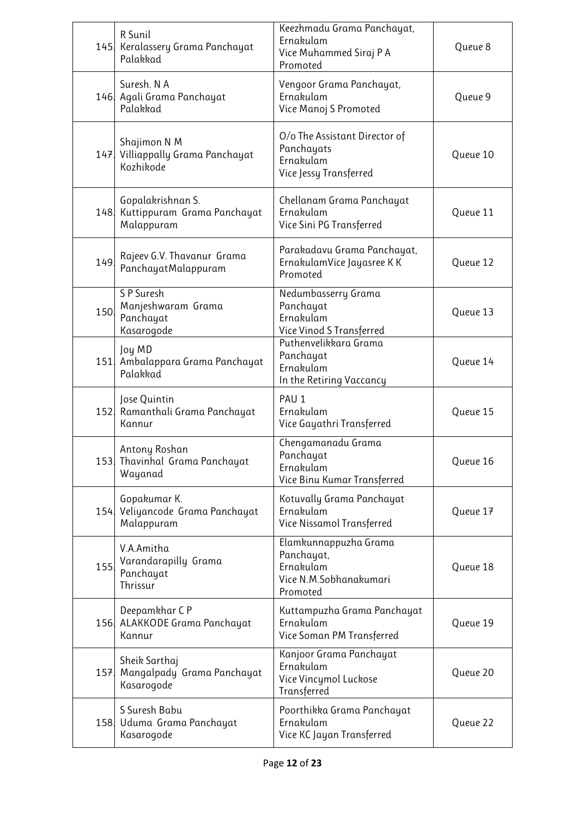|      | R Sunil<br>145   Keralassery Grama Panchayat<br>Palakkad           | Keezhmadu Grama Panchayat,<br>Ernakulam<br>Vice Muhammed Siraj P A<br>Promoted         | Queue 8  |
|------|--------------------------------------------------------------------|----------------------------------------------------------------------------------------|----------|
|      | Suresh. N A<br>146 Agali Grama Panchayat<br>Palakkad               | Vengoor Grama Panchayat,<br>Ernakulam<br>Vice Manoj S Promoted                         | Queue 9  |
|      | Shajimon N M<br>147 Villiappally Grama Panchayat<br>Kozhikode      | O/o The Assistant Director of<br>Panchayats<br>Ernakulam<br>Vice Jessy Transferred     | Queue 10 |
|      | Gopalakrishnan S.<br>148 Kuttippuram Grama Panchayat<br>Malappuram | Chellanam Grama Panchayat<br>Ernakulam<br>Vice Sini PG Transferred                     | Queue 11 |
| 149. | Rajeev G.V. Thavanur Grama<br>PanchayatMalappuram                  | Parakadavu Grama Panchayat,<br>ErnakulamVice Jayasree K K<br>Promoted                  | Queue 12 |
| 150. | S P Suresh<br>Manjeshwaram Grama<br>Panchayat<br>Kasarogode        | Nedumbasserry Grama<br>Panchayat<br>Ernakulam<br>Vice Vinod S Transferred              | Queue 13 |
|      | Joy MD<br>151 Ambalappara Grama Panchayat<br>Palakkad              | Puthenvelikkara Grama<br>Panchayat<br>Ernakulam<br>In the Retiring Vaccancy            | Queue 14 |
|      | Jose Quintin<br>152 Ramanthali Grama Panchayat<br>Kannur           | PAU <sub>1</sub><br>Ernakulam<br>Vice Gayathri Transferred                             | Queue 15 |
|      | Antony Roshan<br>153. Thavinhal Grama Panchayat<br>Wayanad         | Chengamanadu Grama<br>Panchayat<br>Ernakulam<br>Vice Binu Kumar Transferred            | Queue 16 |
|      | Gopakumar K.<br>154 Veliyancode Grama Panchayat<br>Malappuram      | Kotuvally Grama Panchayat<br>Ernakulam<br>Vice Nissamol Transferred                    | Queue 17 |
| 155. | V.A.Amitha<br>Varandarapilly Grama<br>Panchayat<br>Thrissur        | Elamkunnappuzha Grama<br>Panchayat,<br>Ernakulam<br>Vice N.M.Sobhanakumari<br>Promoted | Queue 18 |
|      | Deepamkhar CP<br>156 ALAKKODE Grama Panchayat<br>Kannur            | Kuttampuzha Grama Panchayat<br>Ernakulam<br>Vice Soman PM Transferred                  | Queue 19 |
| 157  | Sheik Sarthaj<br>Mangalpady Grama Panchayat<br>Kasarogode          | Kanjoor Grama Panchayat<br>Ernakulam<br>Vice Vincymol Luckose<br>Transferred           | Queue 20 |
|      | S Suresh Babu<br>158 Uduma Grama Panchayat<br>Kasarogode           | Poorthikka Grama Panchayat<br>Ernakulam<br>Vice KC Jayan Transferred                   | Queue 22 |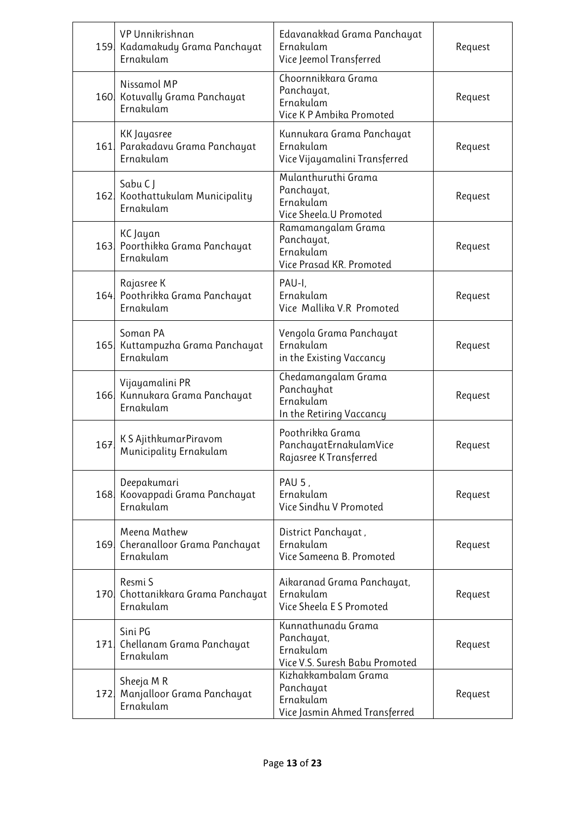|      | VP Unnikrishnan<br>159 Kadamakudy Grama Panchayat<br>Ernakulam | Edavanakkad Grama Panchayat<br>Ernakulam<br>Vice Jeemol Transferred             | Request |
|------|----------------------------------------------------------------|---------------------------------------------------------------------------------|---------|
|      | Nissamol MP<br>160 Kotuvally Grama Panchayat<br>Ernakulam      | Choornnikkara Grama<br>Panchayat,<br>Ernakulam<br>Vice K P Ambika Promoted      | Request |
| 161. | KK Jayasree<br>Parakadavu Grama Panchayat<br>Ernakulam         | Kunnukara Grama Panchayat<br>Ernakulam<br>Vice Vijayamalini Transferred         | Request |
|      | Sabu C J<br>162 Koothattukulam Municipality<br>Ernakulam       | Mulanthuruthi Grama<br>Panchayat,<br>Ernakulam<br>Vice Sheela.U Promoted        | Request |
|      | KC Jayan<br>163 Poorthikka Grama Panchayat<br>Ernakulam        | Ramamangalam Grama<br>Panchayat,<br>Ernakulam<br>Vice Prasad KR. Promoted       | Request |
|      | Rajasree K<br>164 Poothrikka Grama Panchayat<br>Ernakulam      | PAU-I,<br>Ernakulam<br>Vice Mallika V.R Promoted                                | Request |
|      | Soman PA<br>165 Kuttampuzha Grama Panchayat<br>Ernakulam       | Vengola Grama Panchayat<br>Ernakulam<br>in the Existing Vaccancy                | Request |
| 166  | Vijayamalini PR<br>Kunnukara Grama Panchayat<br>Ernakulam      | Chedamangalam Grama<br>Panchayhat<br>Ernakulam<br>In the Retiring Vaccancy      | Request |
| 167  | K S AjithkumarPiravom<br>Municipality Ernakulam                | Poothrikka Grama<br>PanchayatErnakulamVice<br>Rajasree K Transferred            | Request |
| 168. | Deepakumari<br>Koovappadi Grama Panchayat<br>Ernakulam         | PAU 5,<br>Ernakulam<br>Vice Sindhu V Promoted                                   | Request |
|      | Meena Mathew<br>169 Cheranalloor Grama Panchayat<br>Ernakulam  | District Panchayat,<br>Ernakulam<br>Vice Sameena B. Promoted                    | Request |
| 170. | Resmi S<br>Chottanikkara Grama Panchayat<br>Ernakulam          | Aikaranad Grama Panchayat,<br>Ernakulam<br>Vice Sheela E S Promoted             | Request |
| 171. | Sini PG<br>Chellanam Grama Panchayat<br>Ernakulam              | Kunnathunadu Grama<br>Panchayat,<br>Ernakulam<br>Vice V.S. Suresh Babu Promoted | Request |
| 172. | Sheeja M R<br>Manjalloor Grama Panchayat<br>Ernakulam          | Kizhakkambalam Grama<br>Panchayat<br>Ernakulam<br>Vice Jasmin Ahmed Transferred | Request |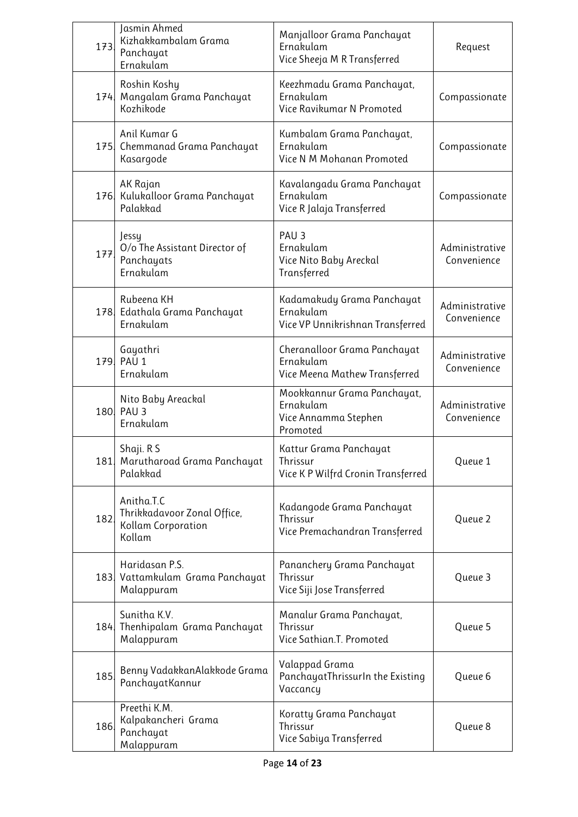| 173. | Jasmin Ahmed<br>Kizhakkambalam Grama<br>Panchayat<br>Ernakulam            | Manjalloor Grama Panchayat<br>Ernakulam<br>Vice Sheeja M R Transferred       | Request                       |
|------|---------------------------------------------------------------------------|------------------------------------------------------------------------------|-------------------------------|
|      | Roshin Koshy<br>174 Mangalam Grama Panchayat<br>Kozhikode                 | Keezhmadu Grama Panchayat,<br>Ernakulam<br>Vice Ravikumar N Promoted         | Compassionate                 |
| 175  | Anil Kumar G<br>Chemmanad Grama Panchayat<br>Kasargode                    | Kumbalam Grama Panchayat,<br>Ernakulam<br>Vice N M Mohanan Promoted          | Compassionate                 |
|      | AK Rajan<br>176 Kulukalloor Grama Panchayat<br>Palakkad                   | Kavalangadu Grama Panchayat<br>Ernakulam<br>Vice R Jalaja Transferred        | Compassionate                 |
| 177. | Jessy<br>O/o The Assistant Director of<br>Panchayats<br>Ernakulam         | PAU <sub>3</sub><br>Ernakulam<br>Vice Nito Baby Areckal<br>Transferred       | Administrative<br>Convenience |
|      | Rubeena KH<br>178 Edathala Grama Panchayat<br>Ernakulam                   | Kadamakudy Grama Panchayat<br>Ernakulam<br>Vice VP Unnikrishnan Transferred  | Administrative<br>Convenience |
|      | Gayathri<br>179. PAU 1<br>Ernakulam                                       | Cheranalloor Grama Panchayat<br>Ernakulam<br>Vice Meena Mathew Transferred   | Administrative<br>Convenience |
|      | Nito Baby Areackal<br>180, PAU 3<br>Ernakulam                             | Mookkannur Grama Panchayat,<br>Ernakulam<br>Vice Annamma Stephen<br>Promoted | Administrative<br>Convenience |
|      | Shaji. R S<br>181 Marutharoad Grama Panchayat<br>Palakkad                 | Kattur Grama Panchayat<br>Thrissur<br>Vice K P Wilfrd Cronin Transferred     | Queue 1                       |
| 182  | Anitha.T.C<br>Thrikkadavoor Zonal Office,<br>Kollam Corporation<br>Kollam | Kadangode Grama Panchayat<br>Thrissur<br>Vice Premachandran Transferred      | Queue 2                       |
|      | Haridasan P.S.<br>183 Vattamkulam Grama Panchayat<br>Malappuram           | Pananchery Grama Panchayat<br>Thrissur<br>Vice Siji Jose Transferred         | Queue 3                       |
|      | Sunitha K.V.<br>184 Thenhipalam Grama Panchayat<br>Malappuram             | Manalur Grama Panchayat,<br>Thrissur<br>Vice Sathian.T. Promoted             | Queue 5                       |
| 185  | Benny VadakkanAlakkode Grama<br>PanchayatKannur                           | Valappad Grama<br>PanchayatThrissurIn the Existing<br>Vaccancy               | Queue 6                       |
| 186. | Preethi K.M.<br>Kalpakancheri Grama<br>Panchayat<br>Malappuram            | Koratty Grama Panchayat<br>Thrissur<br>Vice Sabiya Transferred               | Queue 8                       |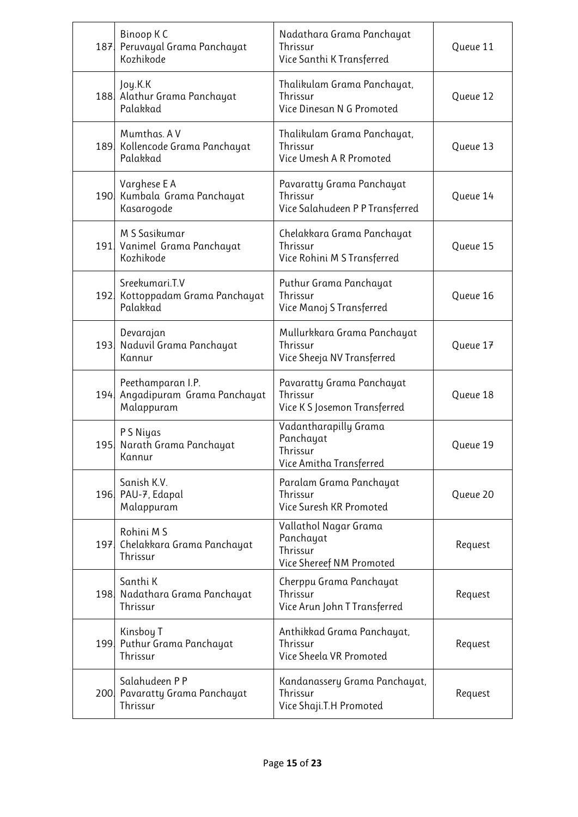| 187. | Binoop KC<br>Peruvayal Grama Panchayat<br>Kozhikode            | Nadathara Grama Panchayat<br>Thrissur<br>Vice Santhi K Transferred         | Queue 11 |
|------|----------------------------------------------------------------|----------------------------------------------------------------------------|----------|
|      | Joy.K.K<br>188 Alathur Grama Panchayat<br>Palakkad             | Thalikulam Grama Panchayat,<br>Thrissur<br>Vice Dinesan N G Promoted       | Queue 12 |
|      | Mumthas. AV<br>189 Kollencode Grama Panchayat<br>Palakkad      | Thalikulam Grama Panchayat,<br>Thrissur<br>Vice Umesh A R Promoted         | Queue 13 |
|      | Varghese E A<br>190 Kumbala Grama Panchayat<br>Kasarogode      | Pavaratty Grama Panchayat<br>Thrissur<br>Vice Salahudeen P P Transferred   | Queue 14 |
|      | M S Sasikumar<br>191. Vanimel Grama Panchayat<br>Kozhikode     | Chelakkara Grama Panchayat<br>Thrissur<br>Vice Rohini M S Transferred      | Queue 15 |
|      | Sreekumari.T.V<br>192 Kottoppadam Grama Panchayat<br>Palakkad  | Puthur Grama Panchayat<br>Thrissur<br>Vice Manoj S Transferred             | Queue 16 |
|      | Devarajan<br>193. Naduvil Grama Panchayat<br>Kannur            | Mullurkkara Grama Panchayat<br>Thrissur<br>Vice Sheeja NV Transferred      | Queue 17 |
| 194  | Peethamparan I.P.<br>Angadipuram Grama Panchayat<br>Malappuram | Pavaratty Grama Panchayat<br>Thrissur<br>Vice KS Josemon Transferred       | Queue 18 |
| 195. | PS Niyas<br>Narath Grama Panchayat<br>Kannur                   | Vadantharapilly Grama<br>Panchayat<br>Thrissur<br>Vice Amitha Transferred  | Queue 19 |
|      | Sanish K.V.<br>196. PAU-7, Edapal<br>Malappuram                | Paralam Grama Panchayat<br>Thrissur<br>Vice Suresh KR Promoted             | Queue 20 |
|      | Rohini M S<br>197 Chelakkara Grama Panchayat<br>Thrissur       | Vallathol Nagar Grama<br>Panchayat<br>Thrissur<br>Vice Shereef NM Promoted | Request  |
| 198. | Santhi K<br>Nadathara Grama Panchayat<br>Thrissur              | Cherppu Grama Panchayat<br>Thrissur<br>Vice Arun John T Transferred        | Request  |
|      | Kinsboy T<br>199 Puthur Grama Panchayat<br>Thrissur            | Anthikkad Grama Panchayat,<br>Thrissur<br>Vice Sheela VR Promoted          | Request  |
|      | Salahudeen P P<br>200 Pavaratty Grama Panchayat<br>Thrissur    | Kandanassery Grama Panchayat,<br>Thrissur<br>Vice Shaji.T.H Promoted       | Request  |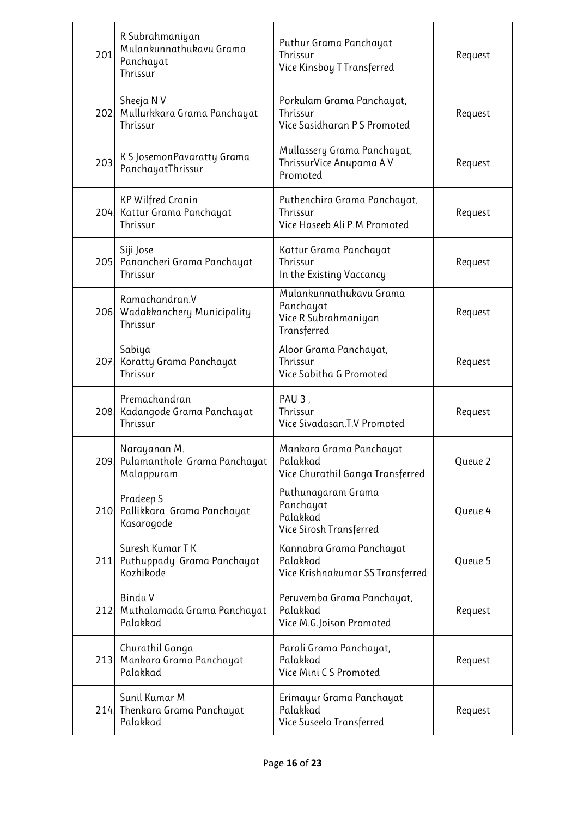| 201  | R Subrahmaniyan<br>Mulankunnathukavu Grama<br>Panchayat<br>Thrissur | Puthur Grama Panchayat<br>Thrissur<br>Vice Kinsboy T Transferred            | Request |
|------|---------------------------------------------------------------------|-----------------------------------------------------------------------------|---------|
|      | Sheeja N V<br>202 Mullurkkara Grama Panchayat<br>Thrissur           | Porkulam Grama Panchayat,<br>Thrissur<br>Vice Sasidharan PS Promoted        | Request |
| 203. | K S JosemonPavaratty Grama<br>PanchayatThrissur                     | Mullassery Grama Panchayat,<br>ThrissurVice Anupama AV<br>Promoted          | Request |
|      | <b>KP Wilfred Cronin</b><br>204 Kattur Grama Panchayat<br>Thrissur  | Puthenchira Grama Panchayat,<br>Thrissur<br>Vice Haseeb Ali P.M Promoted    | Request |
|      | Siji Jose<br>205 Panancheri Grama Panchayat<br>Thrissur             | Kattur Grama Panchayat<br>Thrissur<br>In the Existing Vaccancy              | Request |
|      | Ramachandran.V<br>206 Wadakkanchery Municipality<br>Thrissur        | Mulankunnathukavu Grama<br>Panchayat<br>Vice R Subrahmaniyan<br>Transferred | Request |
|      | Sabiya<br>207 Koratty Grama Panchayat<br>Thrissur                   | Aloor Grama Panchayat,<br>Thrissur<br>Vice Sabitha G Promoted               | Request |
|      | Premachandran<br>208 Kadangode Grama Panchayat<br>Thrissur          | PAU <sub>3</sub> ,<br>Thrissur<br>Vice Sivadasan.T.V Promoted               | Request |
|      | Narayanan M.<br>209 Pulamanthole Grama Panchayat<br>Malappuram      | Mankara Grama Panchayat<br>Palakkad<br>Vice Churathil Ganga Transferred     | Queue 2 |
| 210  | Pradeep S<br>Pallikkara Grama Panchayat<br>Kasarogode               | Puthunagaram Grama<br>Panchayat<br>Palakkad<br>Vice Sirosh Transferred      | Queue 4 |
|      | Suresh Kumar T K<br>211 Puthuppady Grama Panchayat<br>Kozhikode     | Kannabra Grama Panchayat<br>Palakkad<br>Vice Krishnakumar SS Transferred    | Queue 5 |
| 212. | Bindu V<br>Muthalamada Grama Panchayat<br>Palakkad                  | Peruvemba Grama Panchayat,<br>Palakkad<br>Vice M.G.Joison Promoted          | Request |
| 213  | Churathil Ganga<br>Mankara Grama Panchayat<br>Palakkad              | Parali Grama Panchayat,<br>Palakkad<br>Vice Mini CS Promoted                | Request |
|      | Sunil Kumar M<br>214 Thenkara Grama Panchayat<br>Palakkad           | Erimayur Grama Panchayat<br>Palakkad<br>Vice Suseela Transferred            | Request |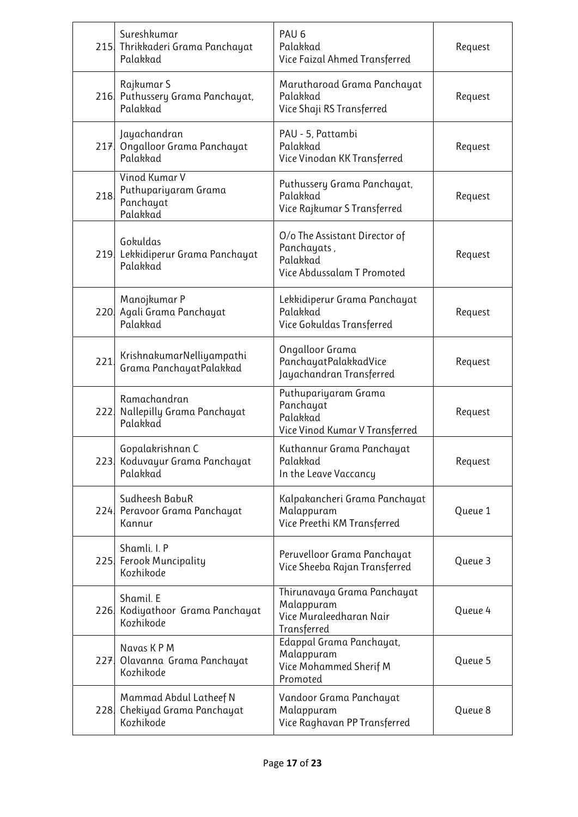|      | Sureshkumar<br>215 Thrikkaderi Grama Panchayat<br>Palakkad      | PAU <sub>6</sub><br>Palakkad<br>Vice Faizal Ahmed Transferred                          | Request |
|------|-----------------------------------------------------------------|----------------------------------------------------------------------------------------|---------|
|      | Rajkumar S<br>216 Puthussery Grama Panchayat,<br>Palakkad       | Marutharoad Grama Panchayat<br>Palakkad<br>Vice Shaji RS Transferred                   | Request |
|      | Jayachandran<br>217 Ongalloor Grama Panchayat<br>Palakkad       | PAU - 5, Pattambi<br>Palakkad<br>Vice Vinodan KK Transferred                           | Request |
| 218  | Vinod Kumar V<br>Puthupariyaram Grama<br>Panchayat<br>Palakkad  | Puthussery Grama Panchayat,<br>Palakkad<br>Vice Rajkumar S Transferred                 | Request |
|      | Gokuldas<br>219 Lekkidiperur Grama Panchayat<br>Palakkad        | O/o The Assistant Director of<br>Panchayats,<br>Palakkad<br>Vice Abdussalam T Promoted | Request |
|      | Manojkumar P<br>220 Agali Grama Panchayat<br>Palakkad           | Lekkidiperur Grama Panchayat<br>Palakkad<br>Vice Gokuldas Transferred                  | Request |
| 221. | KrishnakumarNelliyampathi<br>Grama PanchayatPalakkad            | Ongalloor Grama<br>PanchayatPalakkadVice<br>Jayachandran Transferred                   | Request |
|      | Ramachandran<br>222 Nallepilly Grama Panchayat<br>Palakkad      | Puthupariyaram Grama<br>Panchayat<br>Palakkad<br>Vice Vinod Kumar V Transferred        | Request |
|      | Gopalakrishnan C<br>223 Koduvayur Grama Panchayat<br>Palakkad   | Kuthannur Grama Panchayat<br>Palakkad<br>In the Leave Vaccancy                         | Request |
|      | Sudheesh BabuR<br>224 Peravoor Grama Panchayat<br>Kannur        | Kalpakancheri Grama Panchayat<br>Malappuram<br>Vice Preethi KM Transferred             | Queue 1 |
|      | Shamli. I. P<br>225 Ferook Muncipality<br>Kozhikode             | Peruvelloor Grama Panchayat<br>Vice Sheeba Rajan Transferred                           | Queue 3 |
|      | Shamil. E<br>226 Kodiyathoor Grama Panchayat<br>Kozhikode       | Thirunavaya Grama Panchayat<br>Malappuram<br>Vice Muraleedharan Nair<br>Transferred    | Queue 4 |
|      | Navas KPM<br>227 Olavanna Grama Panchayat<br>Kozhikode          | Edappal Grama Panchayat,<br>Malappuram<br>Vice Mohammed Sherif M<br>Promoted           | Queue 5 |
| 228. | Mammad Abdul Latheef N<br>Chekiyad Grama Panchayat<br>Kozhikode | Vandoor Grama Panchayat<br>Malappuram<br>Vice Raghavan PP Transferred                  | Queue 8 |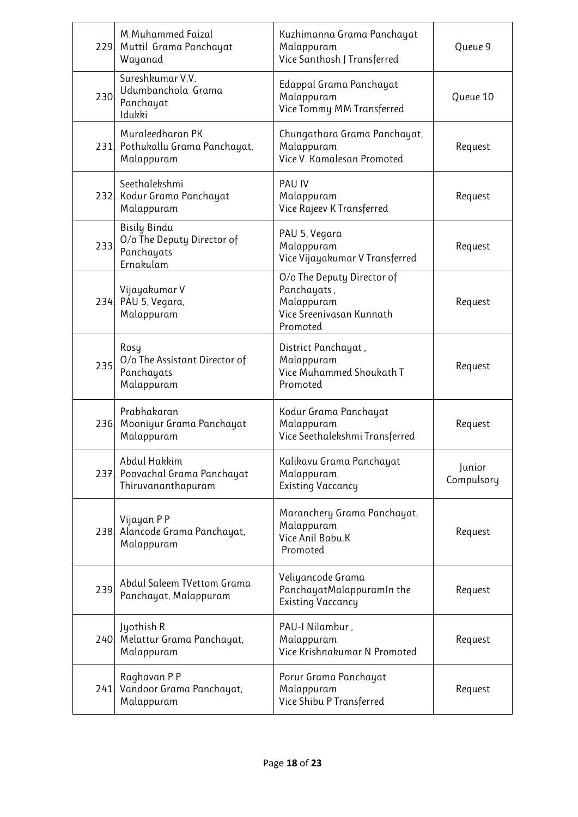|      | M.Muhammed Faizal<br>229. Muttil Grama Panchayat<br>Wayanad                  | Kuzhimanna Grama Panchayat<br>Malappuram<br>Vice Santhosh J Transferred                         | Queue 9              |
|------|------------------------------------------------------------------------------|-------------------------------------------------------------------------------------------------|----------------------|
| 230  | Sureshkumar V.V.<br>Udumbanchola Grama<br>Panchayat<br>Idukki                | Edappal Grama Panchayat<br>Malappuram<br>Vice Tommy MM Transferred                              | Queue 10             |
|      | Muraleedharan PK<br>231 Pothukallu Grama Panchayat,<br>Malappuram            | Chungathara Grama Panchayat,<br>Malappuram<br>Vice V. Kamalesan Promoted                        | Request              |
|      | Seethalekshmi<br>232 Kodur Grama Panchayat<br>Malappuram                     | <b>PAU IV</b><br>Malappuram<br>Vice Rajeev K Transferred                                        | Request              |
| 233  | <b>Bisily Bindu</b><br>O/o The Deputy Director of<br>Panchayats<br>Ernakulam | PAU 5, Vegara<br>Malappuram<br>Vice Vijayakumar V Transferred                                   | Request              |
|      | Vijayakumar V<br>234. PAU 5, Vegara,<br>Malappuram                           | O/o The Deputy Director of<br>Panchayats,<br>Malappuram<br>Vice Sreenivasan Kunnath<br>Promoted | Request              |
| 235. | Rosy<br>O/o The Assistant Director of<br>Panchayats<br>Malappuram            | District Panchayat,<br>Malappuram<br>Vice Muhammed Shoukath T<br>Promoted                       | Request              |
|      | Prabhakaran<br>236 Mooniyur Grama Panchayat<br>Malappuram                    | Kodur Grama Panchayat<br>Malappuram<br>Vice Seethalekshmi Transferred                           | Request              |
|      | Abdul Hakkim<br>237 Poovachal Grama Panchayat<br>Thiruvananthapuram          | Kalikavu Grama Panchayat<br>Malappuram<br><b>Existing Vaccancy</b>                              | Junior<br>Compulsory |
|      | Vijayan P P<br>238 Alancode Grama Panchayat,<br>Malappuram                   | Maranchery Grama Panchayat,<br>Malappuram<br>Vice Anil Babu.K<br>Promoted                       | Request              |
| 239  | Abdul Saleem TVettom Grama<br>Panchayat, Malappuram                          | Veliyancode Grama<br>PanchayatMalappuramIn the<br><b>Existing Vaccancy</b>                      | Request              |
|      | Jyothish R<br>240 Melattur Grama Panchayat,<br>Malappuram                    | PAU-I Nilambur,<br>Malappuram<br>Vice Krishnakumar N Promoted                                   | Request              |
| 241. | Raghavan P P<br>Vandoor Grama Panchayat,<br>Malappuram                       | Porur Grama Panchayat<br>Malappuram<br>Vice Shibu P Transferred                                 | Request              |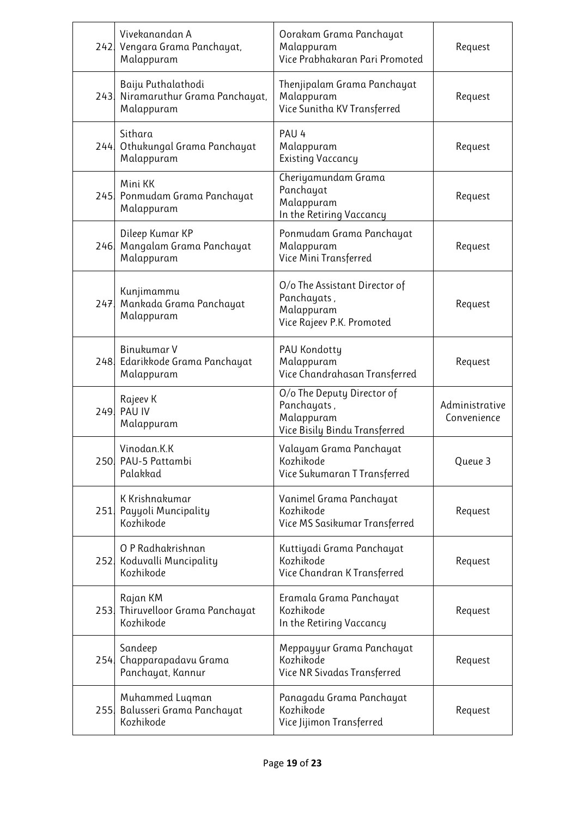|      | Vivekanandan A<br>242 Vengara Grama Panchayat,<br>Malappuram          | Oorakam Grama Panchayat<br>Malappuram<br>Vice Prabhakaran Pari Promoted                  | Request                       |
|------|-----------------------------------------------------------------------|------------------------------------------------------------------------------------------|-------------------------------|
|      | Baiju Puthalathodi<br>243 Niramaruthur Grama Panchayat,<br>Malappuram | Thenjipalam Grama Panchayat<br>Malappuram<br>Vice Sunitha KV Transferred                 | Request                       |
| 244  | Sithara<br>Othukungal Grama Panchayat<br>Malappuram                   | PAU <sub>4</sub><br>Malappuram<br><b>Existing Vaccancy</b>                               | Request                       |
|      | Mini KK<br>245 Ponmudam Grama Panchayat<br>Malappuram                 | Cheriyamundam Grama<br>Panchayat<br>Malappuram<br>In the Retiring Vaccancy               | Request                       |
| 246. | Dileep Kumar KP<br>Mangalam Grama Panchayat<br>Malappuram             | Ponmudam Grama Panchayat<br>Malappuram<br>Vice Mini Transferred                          | Request                       |
|      | Kunjimammu<br>247 Mankada Grama Panchayat<br>Malappuram               | O/o The Assistant Director of<br>Panchayats,<br>Malappuram<br>Vice Rajeev P.K. Promoted  | Request                       |
|      | Binukumar V<br>248 Edarikkode Grama Panchayat<br>Malappuram           | PAU Kondotty<br>Malappuram<br>Vice Chandrahasan Transferred                              | Request                       |
|      | Rajeev K<br>249 PAU IV<br>Malappuram                                  | O/o The Deputy Director of<br>Panchayats,<br>Malappuram<br>Vice Bisily Bindu Transferred | Administrative<br>Convenience |
|      | Vinodan.K.K<br>250 PAU-5 Pattambi<br>Palakkad                         | Valayam Grama Panchayat<br>Kozhikode<br>Vice Sukumaran T Transferred                     | Queue 3                       |
| 251  | K Krishnakumar<br>Payyoli Muncipality<br>Kozhikode                    | Vanimel Grama Panchayat<br>Kozhikode<br>Vice MS Sasikumar Transferred                    | Request                       |
| 252. | O P Radhakrishnan<br>Koduvalli Muncipality<br>Kozhikode               | Kuttiyadi Grama Panchayat<br>Kozhikode<br>Vice Chandran K Transferred                    | Request                       |
|      | Rajan KM<br>253 Thiruvelloor Grama Panchayat<br>Kozhikode             | Eramala Grama Panchayat<br>Kozhikode<br>In the Retiring Vaccancy                         | Request                       |
| 254. | Sandeep<br>Chapparapadavu Grama<br>Panchayat, Kannur                  | Meppayyur Grama Panchayat<br>Kozhikode<br>Vice NR Sivadas Transferred                    | Request                       |
| 255. | Muhammed Luqman<br>Balusseri Grama Panchayat<br>Kozhikode             | Panagadu Grama Panchayat<br>Kozhikode<br>Vice Jijimon Transferred                        | Request                       |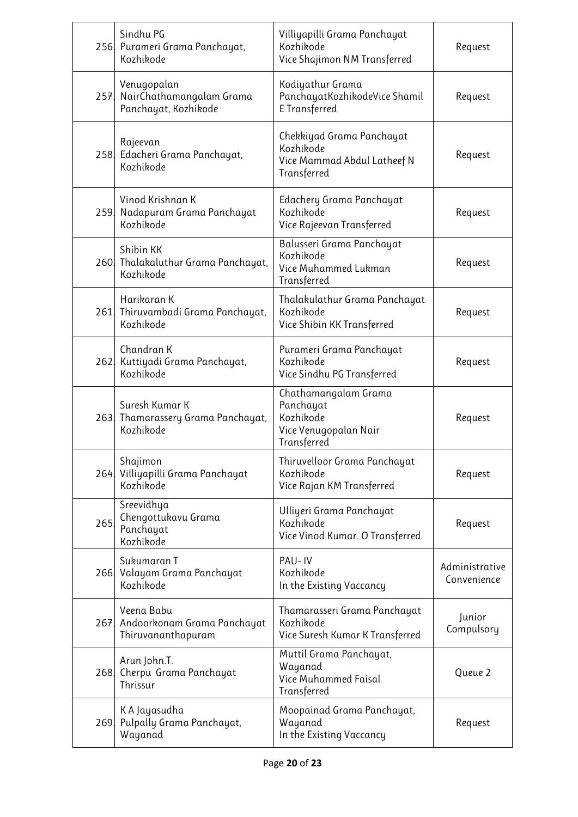|      | Sindhu PG<br>256 Purameri Grama Panchayat,<br>Kozhikode             | Villiyapilli Grama Panchayat<br>Kozhikode<br>Vice Shajimon NM Transferred              | Request                       |
|------|---------------------------------------------------------------------|----------------------------------------------------------------------------------------|-------------------------------|
|      | Venugopalan<br>257 NairChathamangalam Grama<br>Panchayat, Kozhikode | Kodiyathur Grama<br>PanchayatKozhikodeVice Shamil<br>E Transferred                     | Request                       |
|      | Rajeevan<br>258 Edacheri Grama Panchayat,<br>Kozhikode              | Chekkiyad Grama Panchayat<br>Kozhikode<br>Vice Mammad Abdul Latheef N<br>Transferred   | Request                       |
|      | Vinod Krishnan K<br>259 Nadapuram Grama Panchayat<br>Kozhikode      | Edachery Grama Panchayat<br>Kozhikode<br>Vice Rajeevan Transferred                     | Request                       |
|      | Shibin KK<br>260 Thalakaluthur Grama Panchayat,<br>Kozhikode        | Balusseri Grama Panchayat<br>Kozhikode<br>Vice Muhammed Lukman<br>Transferred          | Request                       |
|      | Harikaran K<br>261 Thiruvambadi Grama Panchayat,<br>Kozhikode       | Thalakulathur Grama Panchayat<br>Kozhikode<br>Vice Shibin KK Transferred               | Request                       |
| 262. | Chandran K<br>Kuttiyadi Grama Panchayat,<br>Kozhikode               | Purameri Grama Panchayat<br>Kozhikode<br>Vice Sindhu PG Transferred                    | Request                       |
|      | Suresh Kumar K<br>263. Thamarassery Grama Panchayat,<br>Kozhikode   | Chathamangalam Grama<br>Panchayat<br>Kozhikode<br>Vice Venugopalan Nair<br>Transferred | Request                       |
|      | Shajimon<br>264 Villiyapilli Grama Panchayat<br>Kozhikode           | Thiruvelloor Grama Panchayat<br>Kozhikode<br>Vice Rajan KM Transferred                 | Request                       |
| 265  | Sreevidhya<br>Chengottukavu Grama<br>Panchayat<br>Kozhikode         | Ulliyeri Grama Panchayat<br>Kozhikode<br>Vice Vinod Kumar. O Transferred               | Request                       |
| 266. | Sukumaran T<br>Valayam Grama Panchayat<br>Kozhikode                 | PAU-IV<br>Kozhikode<br>In the Existing Vaccancy                                        | Administrative<br>Convenience |
|      | Veena Babu<br>267 Andoorkonam Grama Panchayat<br>Thiruvananthapuram | Thamarasseri Grama Panchayat<br>Kozhikode<br>Vice Suresh Kumar K Transferred           | Junior<br>Compulsory          |
| 268  | Arun John.T.<br>Cherpu Grama Panchayat<br>Thrissur                  | Muttil Grama Panchayat,<br>Wayanad<br>Vice Muhammed Faisal<br>Transferred              | Queue 2                       |
| 269. | K A Jayasudha<br>Pulpally Grama Panchayat,<br>Wayanad               | Moopainad Grama Panchayat,<br>Wayanad<br>In the Existing Vaccancy                      | Request                       |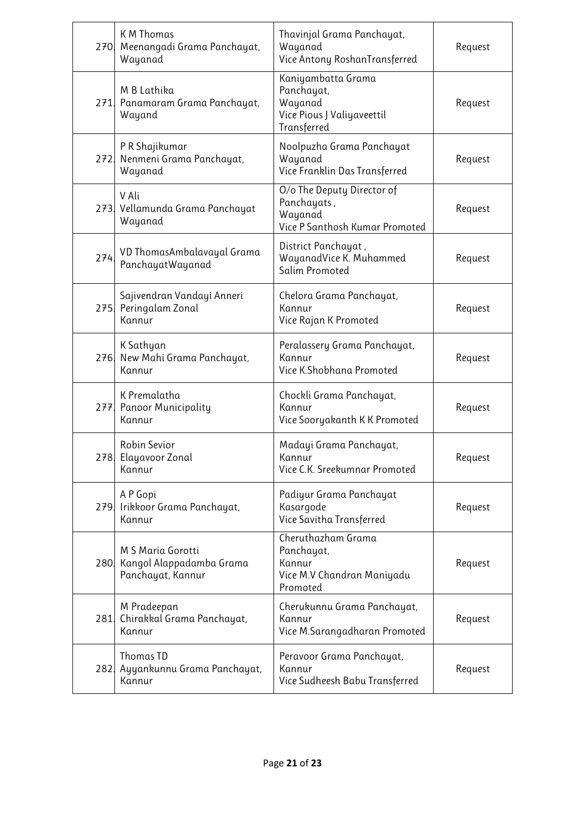|      | <b>KM Thomas</b><br>270 Meenangadi Grama Panchayat,<br>Wayanad     | Thavinjal Grama Panchayat,<br>Wayanad<br>Vice Antony RoshanTransferred                   | Request |
|------|--------------------------------------------------------------------|------------------------------------------------------------------------------------------|---------|
|      | M B Lathika<br>271 Panamaram Grama Panchayat,<br>Wayand            | Kaniyambatta Grama<br>Panchayat,<br>Wayanad<br>Vice Pious J Valiyaveettil<br>Transferred | Request |
| 272. | P R Shajikumar<br>Nenmeni Grama Panchayat,<br>Wayanad              | Noolpuzha Grama Panchayat<br>Wayanad<br>Vice Franklin Das Transferred                    | Request |
|      | V Ali<br>273. Vellamunda Grama Panchayat<br>Wayanad                | O/o The Deputy Director of<br>Panchayats,<br>Wayanad<br>Vice P Santhosh Kumar Promoted   | Request |
| 274  | VD ThomasAmbalavayal Grama<br>PanchayatWayanad                     | District Panchayat,<br>WayanadVice K. Muhammed<br>Salim Promoted                         | Request |
| 275. | Sajivendran Vandayi Anneri<br>Peringalam Zonal<br>Kannur           | Chelora Grama Panchayat,<br>Kannur<br>Vice Rajan K Promoted                              | Request |
| 276. | K Sathyan<br>New Mahi Grama Panchayat,<br>Kannur                   | Peralassery Grama Panchayat,<br>Kannur<br>Vice K.Shobhana Promoted                       | Request |
|      | K Premalatha<br>277 Panoor Municipality<br>Kannur                  | Chockli Grama Panchayat,<br>Kannur<br>Vice Sooryakanth K K Promoted                      | Request |
|      | Robin Sevior<br>278 Elayavoor Zonal<br>Kannur                      | Madayi Grama Panchayat,<br>Kannur<br>Vice C.K. Sreekumnar Promoted                       | Request |
|      | A P Gopi<br>279. Irikkoor Grama Panchayat,<br>Kannur               | Padiyur Grama Panchayat<br>Kasargode<br>Vice Savitha Transferred                         | Request |
| 280. | M S Maria Gorotti<br>Kangol Alappadamba Grama<br>Panchayat, Kannur | Cheruthazham Grama<br>Panchayat,<br>Kannur<br>Vice M.V Chandran Maniyadu<br>Promoted     | Request |
| 281  | M Pradeepan<br>Chirakkal Grama Panchayat,<br>Kannur                | Cherukunnu Grama Panchayat,<br>Kannur<br>Vice M.Sarangadharan Promoted                   | Request |
| 282  | Thomas TD<br>Ayyankunnu Grama Panchayat,<br>Kannur                 | Peravoor Grama Panchayat,<br>Kannur<br>Vice Sudheesh Babu Transferred                    | Request |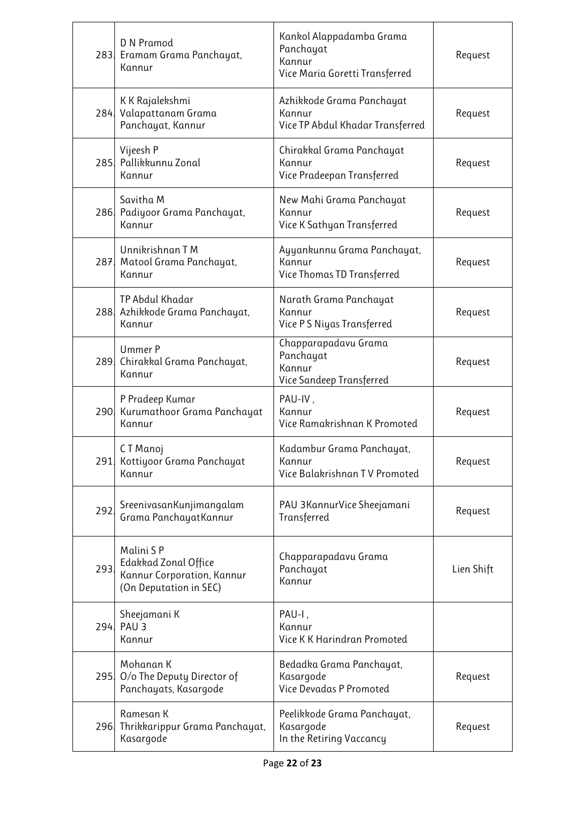|      | D N Pramod<br>283 Eramam Grama Panchayat,<br>Kannur                                       | Kankol Alappadamba Grama<br>Panchayat<br>Kannur<br>Vice Maria Goretti Transferred | Request    |
|------|-------------------------------------------------------------------------------------------|-----------------------------------------------------------------------------------|------------|
|      | K K Rajalekshmi<br>284 Valapattanam Grama<br>Panchayat, Kannur                            | Azhikkode Grama Panchayat<br>Kannur<br>Vice TP Abdul Khadar Transferred           | Request    |
|      | Vijeesh P<br>285. Pallikkunnu Zonal<br>Kannur                                             | Chirakkal Grama Panchayat<br>Kannur<br>Vice Pradeepan Transferred                 | Request    |
|      | Savitha M<br>286 Padiyoor Grama Panchayat,<br>Kannur                                      | New Mahi Grama Panchayat<br>Kannur<br>Vice K Sathyan Transferred                  | Request    |
| 287. | Unnikrishnan T M<br>Matool Grama Panchayat,<br>Kannur                                     | Ayyankunnu Grama Panchayat,<br>Kannur<br>Vice Thomas TD Transferred               | Request    |
|      | TP Abdul Khadar<br>288 Azhikkode Grama Panchayat,<br>Kannur                               | Narath Grama Panchayat<br>Kannur<br>Vice PS Niyas Transferred                     | Request    |
| 289. | Ummer P<br>Chirakkal Grama Panchayat,<br>Kannur                                           | Chapparapadavu Grama<br>Panchayat<br>Kannur<br>Vice Sandeep Transferred           | Request    |
|      | P Pradeep Kumar<br>290 Kurumathoor Grama Panchayat<br>Kannur                              | PAU-IV,<br>Kannur<br>Vice Ramakrishnan K Promoted                                 | Request    |
|      | CT Manoj<br>291 Kottiyoor Grama Panchayat<br>Kannur                                       | Kadambur Grama Panchayat,<br>Kannur<br>Vice Balakrishnan TV Promoted              | Request    |
| 292  | SreenivasanKunjimangalam<br>Grama PanchayatKannur                                         | PAU 3KannurVice Sheejamani<br>Transferred                                         | Request    |
| 293  | Malini SP<br>Edakkad Zonal Office<br>Kannur Corporation, Kannur<br>(On Deputation in SEC) | Chapparapadavu Grama<br>Panchayat<br>Kannur                                       | Lien Shift |
|      | Sheejamani K<br>294, PAU 3<br>Kannur                                                      | PAU-I,<br>Kannur<br>Vice K K Harindran Promoted                                   |            |
| 295. | Mohanan K<br>O/o The Deputy Director of<br>Panchayats, Kasargode                          | Bedadka Grama Panchayat,<br>Kasargode<br>Vice Devadas P Promoted                  | Request    |
|      | Ramesan K<br>296 Thrikkarippur Grama Panchayat,<br>Kasargode                              | Peelikkode Grama Panchayat,<br>Kasargode<br>In the Retiring Vaccancy              | Request    |